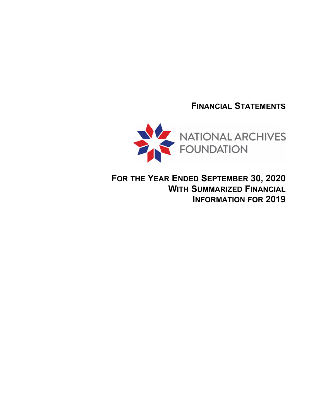**FINANCIAL STATEMENTS**



**FOR THE YEAR ENDED SEPTEMBER 30, 2020 WITH SUMMARIZED FINANCIAL INFORMATION FOR 2019**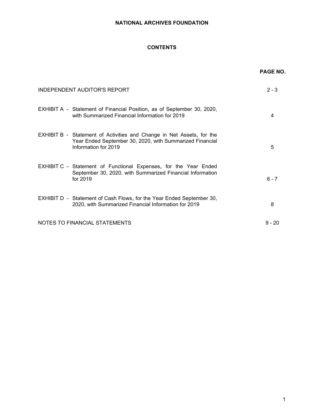# **CONTENTS**

|                               |                                                                                                                                   | <b>PAGE NO.</b> |
|-------------------------------|-----------------------------------------------------------------------------------------------------------------------------------|-----------------|
| INDEPENDENT AUDITOR'S REPORT  |                                                                                                                                   | $2 - 3$         |
|                               | EXHIBIT A - Statement of Financial Position, as of September 30, 2020,<br>with Summarized Financial Information for 2019          | 4               |
| Information for 2019          | EXHIBIT B - Statement of Activities and Change in Net Assets, for the<br>Year Ended September 30, 2020, with Summarized Financial | 5               |
| for 2019                      | EXHIBIT C - Statement of Functional Expenses, for the Year Ended<br>September 30, 2020, with Summarized Financial Information     | $6 - 7$         |
|                               | EXHIBIT D - Statement of Cash Flows, for the Year Ended September 30,<br>2020, with Summarized Financial Information for 2019     | 8               |
| NOTES TO FINANCIAL STATEMENTS |                                                                                                                                   | $9 - 20$        |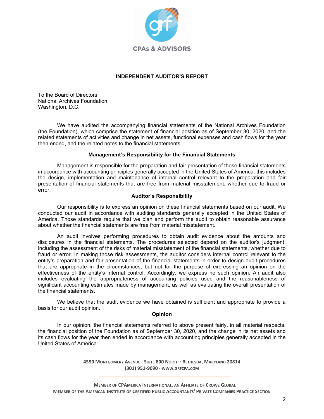

# **INDEPENDENT AUDITOR'S REPORT**

To the Board of Directors National Archives Foundation Washington, D.C.

We have audited the accompanying financial statements of the National Archives Foundation (the Foundation), which comprise the statement of financial position as of September 30, 2020, and the related statements of activities and change in net assets, functional expenses and cash flows for the year then ended, and the related notes to the financial statements.

# **Management's Responsibility for the Financial Statements**

Management is responsible for the preparation and fair presentation of these financial statements in accordance with accounting principles generally accepted in the United States of America; this includes the design, implementation and maintenance of internal control relevant to the preparation and fair presentation of financial statements that are free from material misstatement, whether due to fraud or error.

# **Auditor's Responsibility**

Our responsibility is to express an opinion on these financial statements based on our audit. We conducted our audit in accordance with auditing standards generally accepted in the United States of America. Those standards require that we plan and perform the audit to obtain reasonable assurance about whether the financial statements are free from material misstatement.

An audit involves performing procedures to obtain audit evidence about the amounts and disclosures in the financial statements. The procedures selected depend on the auditor's judgment, including the assessment of the risks of material misstatement of the financial statements, whether due to fraud or error. In making those risk assessments, the auditor considers internal control relevant to the entity's preparation and fair presentation of the financial statements in order to design audit procedures that are appropriate in the circumstances, but not for the purpose of expressing an opinion on the effectiveness of the entity's internal control. Accordingly, we express no such opinion. An audit also includes evaluating the appropriateness of accounting policies used and the reasonableness of significant accounting estimates made by management, as well as evaluating the overall presentation of the financial statements.

We believe that the audit evidence we have obtained is sufficient and appropriate to provide a basis for our audit opinion.

# **Opinion**

In our opinion, the financial statements referred to above present fairly, in all material respects, the financial position of the Foundation as of September 30, 2020, and the change in its net assets and its cash flows for the year then ended in accordance with accounting principles generally accepted in the United States of America.

> **4550 MONTGOMERY AVENUE · SUITE 800 NORTH · BETHESDA, MARYLAND 20814 (301) 951-9090 · WWW.GRFCPA.COM \_\_\_\_\_\_\_\_\_\_\_\_\_\_\_\_\_\_\_\_\_\_\_\_\_\_\_\_\_\_\_\_\_\_\_\_\_\_\_\_\_\_\_\_\_\_\_\_\_\_**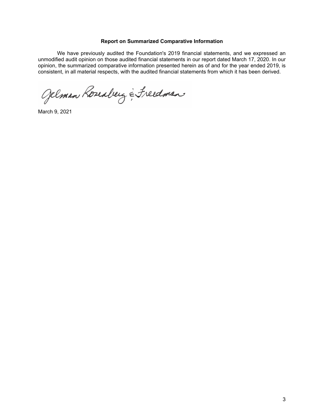### **Report on Summarized Comparative Information**

We have previously audited the Foundation's 2019 financial statements, and we expressed an unmodified audit opinion on those audited financial statements in our report dated March 17, 2020. In our opinion, the summarized comparative information presented herein as of and for the year ended 2019, is consistent, in all material respects, with the audited financial statements from which it has been derived.

Gelman Roseaberg & Freedman

March 9, 2021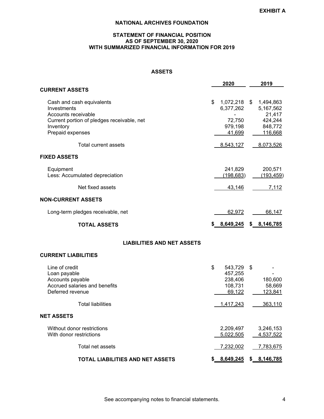# **STATEMENT OF FINANCIAL POSITION AS OF SEPTEMBER 30, 2020 WITH SUMMARIZED FINANCIAL INFORMATION FOR 2019**

# **ASSETS**

|                                                                                                                                                | 2020                                                                     | 2019                                                 |
|------------------------------------------------------------------------------------------------------------------------------------------------|--------------------------------------------------------------------------|------------------------------------------------------|
| <b>CURRENT ASSETS</b>                                                                                                                          |                                                                          |                                                      |
| Cash and cash equivalents<br>Investments<br>Accounts receivable<br>Current portion of pledges receivable, net<br>Inventory<br>Prepaid expenses | \$<br>1,072,218 \$ 1,494,863<br>6,377,262<br>72,750<br>979,198<br>41,699 | 5,167,562<br>21,417<br>424,244<br>848,772<br>116,668 |
| Total current assets                                                                                                                           | 8,543,127                                                                | 8,073,526                                            |
| <b>FIXED ASSETS</b>                                                                                                                            |                                                                          |                                                      |
| Equipment<br>Less: Accumulated depreciation                                                                                                    | 241,829<br>(198, 683)                                                    | 200,571<br>(193, 459)                                |
| Net fixed assets                                                                                                                               | 43,146                                                                   | 7,112                                                |
| <b>NON-CURRENT ASSETS</b>                                                                                                                      |                                                                          |                                                      |
| Long-term pledges receivable, net                                                                                                              | 62,972                                                                   | 66,147                                               |
| <b>TOTAL ASSETS</b>                                                                                                                            | \$8,649,245                                                              | \$8,146,785                                          |
| <b>LIABILITIES AND NET ASSETS</b>                                                                                                              |                                                                          |                                                      |
| <b>CURRENT LIABILITIES</b>                                                                                                                     |                                                                          |                                                      |
| Line of credit<br>Loan payable<br>Accounts payable<br>Accrued salaries and benefits<br>Deferred revenue                                        | \$<br>543,729<br>457,255<br>238,406<br>108,731<br>69,122                 | \$<br>180,600<br>58,669<br>123,841                   |
| <b>Total liabilities</b>                                                                                                                       | 1,417,243                                                                | 363,110                                              |
| <b>NET ASSETS</b>                                                                                                                              |                                                                          |                                                      |
| Without donor restrictions<br>With donor restrictions                                                                                          | 2,209,497<br>5,022,505                                                   | 3,246,153<br>4,537,522                               |

Total net assets 7,232,002 7,783,675 **TOTAL LIABILITIES AND NET ASSETS \$ 8,649,245 \$ 8,146,785**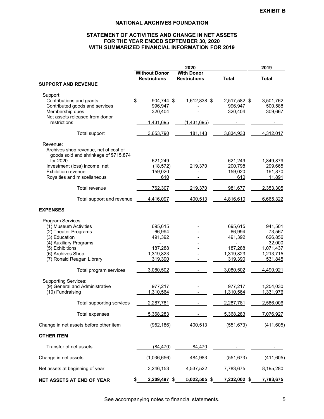# **STATEMENT OF ACTIVITIES AND CHANGE IN NET ASSETS FOR THE YEAR ENDED SEPTEMBER 30, 2020 WITH SUMMARIZED FINANCIAL INFORMATION FOR 2019**

|                                                                                |                      | 2019                |              |              |
|--------------------------------------------------------------------------------|----------------------|---------------------|--------------|--------------|
|                                                                                | <b>Without Donor</b> | <b>With Donor</b>   |              |              |
|                                                                                | <b>Restrictions</b>  | <b>Restrictions</b> | <b>Total</b> | <b>Total</b> |
| <b>SUPPORT AND REVENUE</b>                                                     |                      |                     |              |              |
| Support:                                                                       |                      |                     |              |              |
| Contributions and grants                                                       | \$<br>904,744 \$     | 1,612,838 \$        | 2,517,582 \$ | 3,501,762    |
| Contributed goods and services                                                 | 996,947              |                     | 996,947      | 500,588      |
| Membership dues                                                                | 320,404              |                     | 320,404      | 309,667      |
| Net assets released from donor                                                 |                      |                     |              |              |
| restrictions                                                                   | 1,431,695            | (1,431,695)         |              |              |
|                                                                                |                      |                     |              |              |
| Total support                                                                  | 3,653,790            | 181,143             | 3,834,933    | 4,312,017    |
|                                                                                |                      |                     |              |              |
| Revenue:                                                                       |                      |                     |              |              |
| Archives shop revenue, net of cost of<br>goods sold and shrinkage of \$715,874 |                      |                     |              |              |
| for 2020                                                                       | 621,249              |                     | 621,249      | 1,849,879    |
| Investment (loss) income, net                                                  | (18, 572)            | 219,370             | 200,798      | 299,665      |
| Exhibition revenue                                                             | 159,020              |                     | 159,020      | 191,870      |
| Royalties and miscellaneous                                                    | 610                  |                     | 610          | 11,891       |
|                                                                                |                      |                     |              |              |
| Total revenue                                                                  | 762,307              | 219,370             | 981,677      | 2,353,305    |
| Total support and revenue                                                      | 4,416,097            | 400,513             | 4,816,610    | 6,665,322    |
|                                                                                |                      |                     |              |              |
| <b>EXPENSES</b>                                                                |                      |                     |              |              |
| Program Services:                                                              |                      |                     |              |              |
| (1) Museum Activities                                                          | 695,615              |                     | 695,615      | 941,501      |
| (2) Theater Programs                                                           | 66,994               |                     | 66,994       | 73,567       |
| (3) Education                                                                  | 491,392              |                     | 491,392      | 626,856      |
| (4) Auxiliary Programs                                                         |                      |                     |              | 32,000       |
| (5) Exhibitions                                                                | 187,288              |                     | 187,288      | 1,071,437    |
| (6) Archives Shop                                                              | 1,319,823            |                     | 1,319,823    | 1,213,715    |
| (7) Ronald Reagan Library                                                      | 319,390              |                     | 319,390      | 531,845      |
|                                                                                |                      |                     |              |              |
| Total program services                                                         | 3,080,502            |                     | 3,080,502    | 4,490,921    |
| <b>Supporting Services:</b>                                                    |                      |                     |              |              |
| (9) General and Administrative                                                 | 977,217              |                     | 977,217      | 1,254,030    |
| (10) Fundraising                                                               | 1,310,564            |                     | 1,310,564    | 1,331,976    |
|                                                                                |                      |                     |              |              |
| Total supporting services                                                      | 2,287,781            |                     | 2,287,781    | 2,586,006    |
| <b>Total expenses</b>                                                          | 5,368,283            |                     | 5,368,283    | 7,076,927    |
| Change in net assets before other item                                         | (952, 186)           | 400,513             | (551, 673)   | (411, 605)   |
| <b>OTHER ITEM</b>                                                              |                      |                     |              |              |
|                                                                                |                      |                     |              |              |
| Transfer of net assets                                                         | (84, 470)            | 84,470              |              |              |
| Change in net assets                                                           | (1,036,656)          | 484,983             | (551, 673)   | (411, 605)   |
| Net assets at beginning of year                                                | 3,246,153            | 4,537,522           | 7,783,675    | 8,195,280    |
| NET ASSETS AT END OF YEAR                                                      | 2,209,497 \$         | $5,022,505$ \$      | 7,232,002 \$ | 7,783,675    |
|                                                                                |                      |                     |              |              |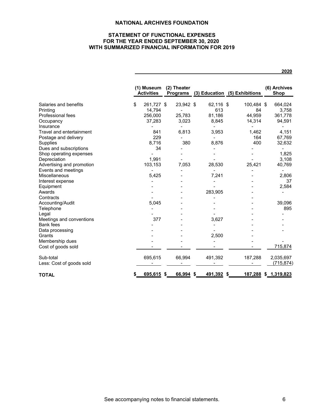# **STATEMENT OF FUNCTIONAL EXPENSES FOR THE YEAR ENDED SEPTEMBER 30, 2020 WITH SUMMARIZED FINANCIAL INFORMATION FOR 2019**

|                           |    | (1) Museum<br><b>Activities</b> | (2) Theater                       |                                   | Programs (3) Education (5) Exhibitions | (6) Archives<br><b>Shop</b> |
|---------------------------|----|---------------------------------|-----------------------------------|-----------------------------------|----------------------------------------|-----------------------------|
| Salaries and benefits     | \$ | 261,727 \$                      | 23,942 \$                         | 62,116 \$                         | 100,484 \$                             | 664,024                     |
| Printing                  |    | 14.794                          | $\overline{\phantom{0}}$          | 613                               | 84                                     | 3,758                       |
| Professional fees         |    | 256,000                         | 25,783                            | 81,186                            | 44,959                                 | 361,778                     |
| Occupancy<br>Insurance    |    | 37,283                          | 3,023<br>$\overline{\phantom{a}}$ | 8,845<br>$\overline{\phantom{0}}$ | 14,314<br>$\blacksquare$               | 94,591                      |
| Travel and entertainment  |    | 841                             | 6,813                             | 3,953                             | 1,462                                  | 4,151                       |
| Postage and delivery      |    | 229                             |                                   | $\overline{\phantom{0}}$          | 164                                    | 67,769                      |
| Supplies                  |    | 8,716                           | 380                               | 8,876                             | 400                                    | 32,632                      |
| Dues and subscriptions    |    | 34                              |                                   |                                   |                                        |                             |
| Shop operating expenses   |    |                                 |                                   |                                   |                                        | 1,825                       |
| Depreciation              |    | 1,991                           |                                   |                                   |                                        | 3,108                       |
| Advertising and promotion |    | 103,153                         | 7,053                             | 28,530                            | 25,421                                 | 40,769                      |
| Events and meetings       |    |                                 |                                   |                                   |                                        |                             |
| Miscellaneous             |    | 5,425                           |                                   | 7,241                             |                                        | 2,806                       |
| Interest expense          |    |                                 |                                   |                                   |                                        | 37                          |
| Equipment                 |    |                                 |                                   |                                   |                                        | 2,584                       |
| Awards                    |    |                                 |                                   | 283,905                           |                                        |                             |
| Contracts                 |    |                                 |                                   |                                   |                                        |                             |
| Accounting/Audit          |    | 5,045                           |                                   |                                   |                                        | 39,096                      |
| Telephone                 |    |                                 |                                   |                                   |                                        | 895                         |
| Legal                     |    |                                 |                                   |                                   |                                        |                             |
| Meetings and conventions  |    | 377                             |                                   | 3,627                             |                                        |                             |
| <b>Bank fees</b>          |    |                                 |                                   |                                   |                                        |                             |
| Data processing           |    |                                 |                                   |                                   |                                        |                             |
| Grants                    |    |                                 |                                   | 2,500                             |                                        |                             |
| Membership dues           |    |                                 |                                   |                                   |                                        |                             |
| Cost of goods sold        |    |                                 |                                   |                                   |                                        | 715,874                     |
| Sub-total                 |    | 695,615                         | 66,994                            | 491,392                           | 187,288                                | 2,035,697                   |
| Less: Cost of goods sold  |    |                                 |                                   |                                   |                                        | (715, 874)                  |
| <b>TOTAL</b>              | S  | $695,615$ \$                    | 66,994                            | 491,392 \$<br>\$                  |                                        | 187,288 \$ 1,319,823        |

**2020**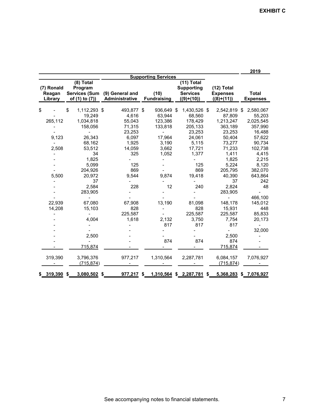|                                                                         |                                                                                                                                                                                                                                             |                                                                                                                                                                    |                                                                                                                                              |                                                                                                                                                                                             |                                                                                                                                                                                                                                                                        | 2019                                                                                                                                                                                                                       |
|-------------------------------------------------------------------------|---------------------------------------------------------------------------------------------------------------------------------------------------------------------------------------------------------------------------------------------|--------------------------------------------------------------------------------------------------------------------------------------------------------------------|----------------------------------------------------------------------------------------------------------------------------------------------|---------------------------------------------------------------------------------------------------------------------------------------------------------------------------------------------|------------------------------------------------------------------------------------------------------------------------------------------------------------------------------------------------------------------------------------------------------------------------|----------------------------------------------------------------------------------------------------------------------------------------------------------------------------------------------------------------------------|
| (7) Ronald<br>Reagan<br>Library                                         | (8) Total<br>Program<br><b>Services (Sum</b><br>of (1) to (7))                                                                                                                                                                              | (9) General and<br>Administrative                                                                                                                                  | <b>Supporting Services</b><br>(10)<br><b>Fundraising</b>                                                                                     | $(11)$ Total<br><b>Supporting</b><br><b>Services</b><br>$((9)+(10))$                                                                                                                        | $(12)$ Total<br><b>Expenses</b><br>$((8)+(11))$                                                                                                                                                                                                                        | <b>Total</b><br><b>Expenses</b>                                                                                                                                                                                            |
| \$<br>265,112<br>9,123<br>2,508<br>5,500<br>22,939<br>14,208<br>319,390 | \$<br>1,112,293 \$<br>19,249<br>1,034,818<br>158,056<br>26,343<br>68,162<br>53,512<br>34<br>1,825<br>5,099<br>204,926<br>20,972<br>37<br>2,584<br>283,905<br>67,080<br>15,103<br>4,004<br>2,500<br>715,874<br>3,796,376<br><u>(715,874)</u> | 493.877 \$<br>4,616<br>55,043<br>71,315<br>23,253<br>6,097<br>1,925<br>14,059<br>325<br>125<br>869<br>9.544<br>228<br>67,908<br>828<br>225,587<br>1,618<br>977,217 | 936.649 \$<br>63,944<br>123,386<br>133,818<br>17,964<br>3,190<br>3,662<br>1,052<br>9.874<br>12<br>13,190<br>2,132<br>817<br>874<br>1,310,564 | 1,430,526 \$<br>68,560<br>178,429<br>205,133<br>23,253<br>24,061<br>5,115<br>17,721<br>1.377<br>125<br>869<br>19,418<br>240<br>81,098<br>828<br>225,587<br>3,750<br>817<br>874<br>2,287,781 | 2,542,819 \$<br>87,809<br>1,213,247<br>363,189<br>23,253<br>50,404<br>73,277<br>71,233<br>1,411<br>1,825<br>5,224<br>205,795<br>40,390<br>37<br>2,824<br>283,905<br>148,178<br>15,931<br>225,587<br>7,754<br>817<br>2,500<br>874<br>715,874<br>6,084,157<br>(715, 874) | 2,580,067<br>55,203<br>2,025,545<br>357,990<br>16,488<br>57,622<br>90,734<br>102,738<br>4,415<br>2,215<br>8,120<br>382,070<br>643,864<br>242<br>48<br>466,100<br>145,012<br>448<br>85,833<br>20,173<br>32,000<br>7,076,927 |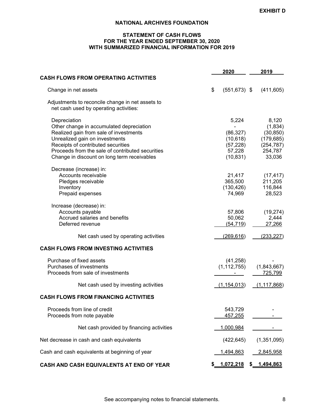# **STATEMENT OF CASH FLOWS FOR THE YEAR ENDED SEPTEMBER 30, 2020 WITH SUMMARIZED FINANCIAL INFORMATION FOR 2019**

|                                                                                                                                                                                                                                | 2020                                                   | 2019                                                                 |
|--------------------------------------------------------------------------------------------------------------------------------------------------------------------------------------------------------------------------------|--------------------------------------------------------|----------------------------------------------------------------------|
| <b>CASH FLOWS FROM OPERATING ACTIVITIES</b>                                                                                                                                                                                    |                                                        |                                                                      |
| Change in net assets                                                                                                                                                                                                           | \$<br>$(551, 673)$ \$                                  | (411, 605)                                                           |
| Adjustments to reconcile change in net assets to<br>net cash used by operating activities:                                                                                                                                     |                                                        |                                                                      |
| Depreciation<br>Other change in accumulated depreciation<br>Realized gain from sale of investments<br>Unrealized gain on investments<br>Receipts of contributed securities<br>Proceeds from the sale of contributed securities | 5,224<br>(86, 327)<br>(10, 618)<br>(57, 228)<br>57,228 | 8,120<br>(1,834)<br>(30, 850)<br>(179, 685)<br>(254, 787)<br>254,787 |
| Change in discount on long term receivables                                                                                                                                                                                    | (10, 831)                                              | 33,036                                                               |
| Decrease (increase) in:<br>Accounts receivable<br>Pledges receivable<br>Inventory<br>Prepaid expenses                                                                                                                          | 21,417<br>365,500<br>(130, 426)<br>74,969              | (17, 417)<br>211,205<br>116,844<br>28,523                            |
| Increase (decrease) in:<br>Accounts payable<br>Accrued salaries and benefits<br>Deferred revenue                                                                                                                               | 57,806<br>50,062<br>(54, 719)                          | (19, 274)<br>2,444<br>27,266                                         |
| Net cash used by operating activities                                                                                                                                                                                          | (269, 616)                                             | (233, 227)                                                           |
| <b>CASH FLOWS FROM INVESTING ACTIVITIES</b>                                                                                                                                                                                    |                                                        |                                                                      |
| Purchase of fixed assets<br>Purchases of investments<br>Proceeds from sale of investments                                                                                                                                      | (41, 258)<br>(1, 112, 755)                             | (1,843,667)<br>725,799                                               |
| Net cash used by investing activities                                                                                                                                                                                          | (1, 154, 013)                                          | (1, 117, 868)                                                        |
| <b>CASH FLOWS FROM FINANCING ACTIVITIES</b>                                                                                                                                                                                    |                                                        |                                                                      |
| Proceeds from line of credit<br>Proceeds from note payable                                                                                                                                                                     | 543,729<br>457,255                                     |                                                                      |
| Net cash provided by financing activities                                                                                                                                                                                      | 1,000,984                                              |                                                                      |
| Net decrease in cash and cash equivalents                                                                                                                                                                                      | (422, 645)                                             | (1,351,095)                                                          |
| Cash and cash equivalents at beginning of year                                                                                                                                                                                 | <u>1,494,863</u>                                       | <u>2,845,958</u>                                                     |
| CASH AND CASH EQUIVALENTS AT END OF YEAR                                                                                                                                                                                       | 1,072,218                                              | \$<br>1,494,863                                                      |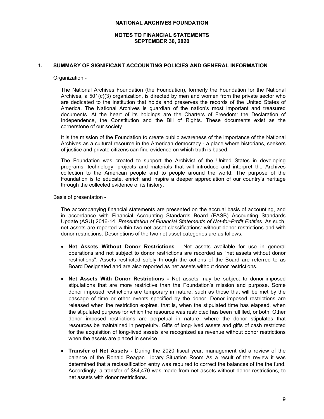# **NOTES TO FINANCIAL STATEMENTS SEPTEMBER 30, 2020**

### **1. SUMMARY OF SIGNIFICANT ACCOUNTING POLICIES AND GENERAL INFORMATION**

#### Organization -

The National Archives Foundation (the Foundation), formerly the Foundation for the National Archives, a 501(c)(3) organization, is directed by men and women from the private sector who are dedicated to the institution that holds and preserves the records of the United States of America. The National Archives is guardian of the nation's most important and treasured documents. At the heart of its holdings are the Charters of Freedom: the Declaration of Independence, the Constitution and the Bill of Rights. These documents exist as the cornerstone of our society.

It is the mission of the Foundation to create public awareness of the importance of the National Archives as a cultural resource in the American democracy - a place where historians, seekers of justice and private citizens can find evidence on which truth is based.

The Foundation was created to support the Archivist of the United States in developing programs, technology, projects and materials that will introduce and interpret the Archives collection to the American people and to people around the world. The purpose of the Foundation is to educate, enrich and inspire a deeper appreciation of our country's heritage through the collected evidence of its history.

Basis of presentation -

The accompanying financial statements are presented on the accrual basis of accounting, and in accordance with Financial Accounting Standards Board (FASB) Accounting Standards Update (ASU) 2016-14, *Presentation of Financial Statements of Not-for-Profit Entitie*s. As such, net assets are reported within two net asset classifications: without donor restrictions and with donor restrictions. Descriptions of the two net asset categories are as follows:

- **Net Assets Without Donor Restrictions** Net assets available for use in general operations and not subject to donor restrictions are recorded as "net assets without donor restrictions". Assets restricted solely through the actions of the Board are referred to as Board Designated and are also reported as net assets without donor restrictions.
- **Net Assets With Donor Restrictions -** Net assets may be subject to donor-imposed stipulations that are more restrictive than the Foundation's mission and purpose. Some donor imposed restrictions are temporary in nature, such as those that will be met by the passage of time or other events specified by the donor. Donor imposed restrictions are released when the restriction expires, that is, when the stipulated time has elapsed, when the stipulated purpose for which the resource was restricted has been fulfilled, or both. Other donor imposed restrictions are perpetual in nature, where the donor stipulates that resources be maintained in perpetuity. Gifts of long-lived assets and gifts of cash restricted for the acquisition of long-lived assets are recognized as revenue without donor restrictions when the assets are placed in service.
- **Transfer of Net Assets** During the 2020 fiscal year, management did a review of the balance of the Ronald Reagan Library Situation Room As a result of the review it was determined that a reclassification entry was required to correct the balances of the the fund. Accordingly, a transfer of \$84,470 was made from net assets without donor restrictions, to net assets with donor restrictions.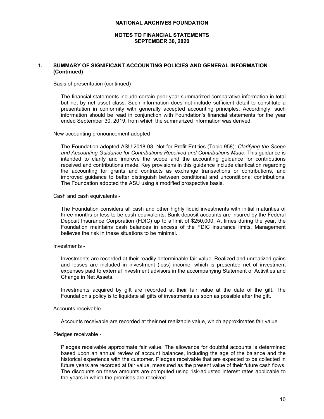#### **NOTES TO FINANCIAL STATEMENTS SEPTEMBER 30, 2020**

# **1. SUMMARY OF SIGNIFICANT ACCOUNTING POLICIES AND GENERAL INFORMATION (Continued)**

Basis of presentation (continued) -

The financial statements include certain prior year summarized comparative information in total but not by net asset class. Such information does not include sufficient detail to constitute a presentation in conformity with generally accepted accounting principles. Accordingly, such information should be read in conjunction with Foundation's financial statements for the year ended September 30, 2019, from which the summarized information was derived.

New accounting pronouncement adopted -

The Foundation adopted ASU 2018-08, Not-for-Profit Entities (Topic 958): *Clarifying the Scope and Accounting Guidance for Contributions Received and Contributions Made.* This guidance is intended to clarify and improve the scope and the accounting guidance for contributions received and contributions made. Key provisions in this guidance include clarification regarding the accounting for grants and contracts as exchange transactions or contributions, and improved guidance to better distinguish between conditional and unconditional contributions. The Foundation adopted the ASU using a modified prospective basis.

Cash and cash equivalents -

The Foundation considers all cash and other highly liquid investments with initial maturities of three months or less to be cash equivalents. Bank deposit accounts are insured by the Federal Deposit Insurance Corporation (FDIC) up to a limit of \$250,000. At times during the year, the Foundation maintains cash balances in excess of the FDIC insurance limits. Management believes the risk in these situations to be minimal.

#### Investments -

Investments are recorded at their readily determinable fair value. Realized and unrealized gains and losses are included in investment (loss) income, which is presented net of investment expenses paid to external investment advisors in the accompanying Statement of Activities and Change in Net Assets.

Investments acquired by gift are recorded at their fair value at the date of the gift. The Foundation's policy is to liquidate all gifts of investments as soon as possible after the gift.

Accounts receivable -

Accounts receivable are recorded at their net realizable value, which approximates fair value.

Pledges receivable -

Pledges receivable approximate fair value. The allowance for doubtful accounts is determined based upon an annual review of account balances, including the age of the balance and the historical experience with the customer. Pledges receivable that are expected to be collected in future years are recorded at fair value, measured as the present value of their future cash flows. The discounts on these amounts are computed using risk-adjusted interest rates applicable to the years in which the promises are received.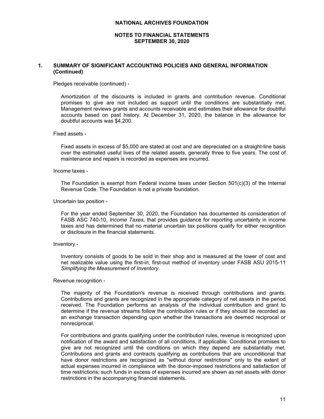### **NOTES TO FINANCIAL STATEMENTS SEPTEMBER 30, 2020**

# **1. SUMMARY OF SIGNIFICANT ACCOUNTING POLICIES AND GENERAL INFORMATION (Continued)**

Pledges receivable (continued) -

Amortization of the discounts is included in grants and contribution revenue. Conditional promises to give are not included as support until the conditions are substantially met. Management reviews grants and accounts receivable and estimates their allowance for doubtful accounts based on past history. At December 31, 2020, the balance in the allowance for doubtful accounts was \$4,200.

#### Fixed assets -

Fixed assets in excess of \$5,000 are stated at cost and are depreciated on a straight-line basis over the estimated useful lives of the related assets, generally three to five years. The cost of maintenance and repairs is recorded as expenses are incurred.

# Income taxes -

The Foundation is exempt from Federal income taxes under Section  $501(c)(3)$  of the Internal Revenue Code. The Foundation is not a private foundation.

#### Uncertain tax position -

For the year ended September 30, 2020, the Foundation has documented its consideration of FASB ASC 740-10, *Income Taxes*, that provides guidance for reporting uncertainty in income taxes and has determined that no material uncertain tax positions qualify for either recognition or disclosure in the financial statements.

#### Inventory -

Inventory consists of goods to be sold in their shop and is measured at the lower of cost and net realizable value using the first-in, first-out method of inventory under FASB ASU 2015-11 *Simplifying the Measurement of Inventory*.

#### Revenue recognition -

The majority of the Foundation's revenue is received through contributions and grants. Contributions and grants are recognized in the appropriate category of net assets in the period received. The Foundation performs an analysis of the individual contribution and grant to determine if the revenue streams follow the contribution rules or if they should be recorded as an exchange transaction depending upon whether the transactions are deemed reciprocal or nonreciprocal.

For contributions and grants qualifying under the contribution rules, revenue is recognized upon notification of the award and satisfaction of all conditions, if applicable. Conditional promises to give are not recognized until the conditions on which they depend are substantially met. Contributions and grants and contracts qualifying as contributions that are unconditional that have donor restrictions are recognized as "without donor restrictions" only to the extent of actual expenses incurred in compliance with the donor-imposed restrictions and satisfaction of time restrictions; such funds in excess of expenses incurred are shown as net assets with donor restrictions in the accompanying financial statements.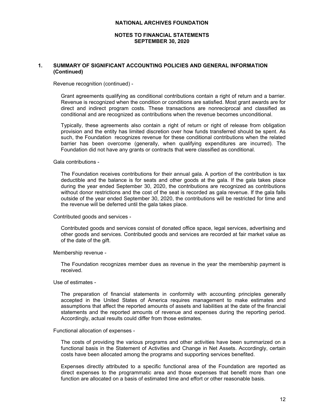### **NOTES TO FINANCIAL STATEMENTS SEPTEMBER 30, 2020**

### **1. SUMMARY OF SIGNIFICANT ACCOUNTING POLICIES AND GENERAL INFORMATION (Continued)**

Revenue recognition (continued) -

Grant agreements qualifying as conditional contributions contain a right of return and a barrier. Revenue is recognized when the condition or conditions are satisfied. Most grant awards are for direct and indirect program costs. These transactions are nonreciprocal and classified as conditional and are recognized as contributions when the revenue becomes unconditional.

Typically, these agreements also contain a right of return or right of release from obligation provision and the entity has limited discretion over how funds transferred should be spent. As such, the Foundation recognizes revenue for these conditional contributions when the related barrier has been overcome (generally, when qualifying expenditures are incurred). The Foundation did not have any grants or contracts that were classified as conditional.

Gala contributions -

The Foundation receives contributions for their annual gala. A portion of the contribution is tax deductible and the balance is for seats and other goods at the gala. If the gala takes place during the year ended September 30, 2020, the contributions are recognized as contributions without donor restrictions and the cost of the seat is recorded as gala revenue. If the gala falls outside of the year ended September 30, 2020, the contributions will be restricted for time and the revenue will be deferred until the gala takes place.

Contributed goods and services -

Contributed goods and services consist of donated office space, legal services, advertising and other goods and services. Contributed goods and services are recorded at fair market value as of the date of the gift.

Membership revenue -

The Foundation recognizes member dues as revenue in the year the membership payment is received.

Use of estimates -

The preparation of financial statements in conformity with accounting principles generally accepted in the United States of America requires management to make estimates and assumptions that affect the reported amounts of assets and liabilities at the date of the financial statements and the reported amounts of revenue and expenses during the reporting period. Accordingly, actual results could differ from those estimates.

Functional allocation of expenses -

The costs of providing the various programs and other activities have been summarized on a functional basis in the Statement of Activities and Change in Net Assets. Accordingly, certain costs have been allocated among the programs and supporting services benefited.

Expenses directly attributed to a specific functional area of the Foundation are reported as direct expenses to the programmatic area and those expenses that benefit more than one function are allocated on a basis of estimated time and effort or other reasonable basis.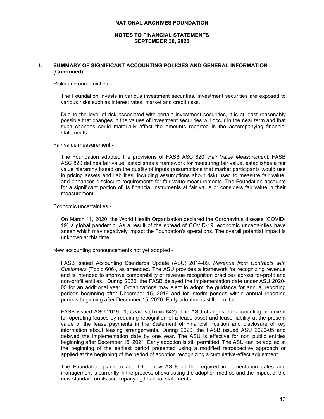### **NOTES TO FINANCIAL STATEMENTS SEPTEMBER 30, 2020**

# **1. SUMMARY OF SIGNIFICANT ACCOUNTING POLICIES AND GENERAL INFORMATION (Continued)**

Risks and uncertainties -

The Foundation invests in various investment securities. Investment securities are exposed to various risks such as interest rates, market and credit risks.

Due to the level of risk associated with certain investment securities, it is at least reasonably possible that changes in the values of investment securities will occur in the near term and that such changes could materially affect the amounts reported in the accompanying financial statements.

Fair value measurement -

The Foundation adopted the provisions of FASB ASC 820, *Fair Value Measurement*. FASB ASC 820 defines fair value, establishes a framework for measuring fair value, establishes a fair value hierarchy based on the quality of inputs (assumptions that market participants would use in pricing assets and liabilities, including assumptions about risk) used to measure fair value, and enhances disclosure requirements for fair value measurements. The Foundation accounts for a significant portion of its financial instruments at fair value or considers fair value in their measurement.

Economic uncertainties -

On March 11, 2020, the World Health Organization declared the Coronavirus disease (COVID-19) a global pandemic. As a result of the spread of COVID-19, economic uncertainties have arisen which may negatively impact the Foundation's operations. The overall potential impact is unknown at this time.

New accounting pronouncements not yet adopted -

FASB issued Accounting Standards Update (ASU) 2014-09, *Revenue from Contracts with Customers* (Topic 606), as amended. The ASU provides a framework for recognizing revenue and is intended to improve comparability of revenue recognition practices across for-profit and non-profit entities. During 2020, the FASB delayed the implementation date under ASU 2020- 05 for an additional year. Organizations may elect to adopt the guidance for annual reporting periods beginning after December 15, 2019 and for interim periods within annual reporting periods beginning after December 15, 2020. Early adoption is still permitted.

FASB issued ASU 2019-01, *Leases* (Topic 842). The ASU changes the accounting treatment for operating leases by requiring recognition of a lease asset and lease liability at the present value of the lease payments in the Statement of Financial Position and disclosure of key information about leasing arrangements. During 2020, the FASB issued ASU 2020-05 and delayed the implementation date by one year. The ASU is effective for non public entities beginning after December 15, 2021. Early adoption is still permitted. The ASU can be applied at the beginning of the earliest period presented using a modified retrospective approach or applied at the beginning of the period of adoption recognizing a cumulative-effect adjustment.

The Foundation plans to adopt the new ASUs at the required implementation dates and management is currently in the process of evaluating the adoption method and the impact of the new standard on its accompanying financial statements.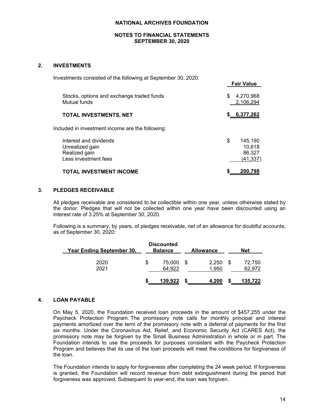# **NOTES TO FINANCIAL STATEMENTS SEPTEMBER 30, 2020**

# **2. INVESTMENTS**

| Investments consisted of the following at September 30, 2020:                      | <b>Fair Value</b>                                    |
|------------------------------------------------------------------------------------|------------------------------------------------------|
| Stocks, options and exchange traded funds<br>Mutual funds                          | \$<br>4,270,968<br>2,106,294                         |
| TOTAL INVESTMENTS, NET                                                             | \$6,377,262                                          |
| Included in investment income are the following:                                   |                                                      |
| Interest and dividends<br>Unrealized gain<br>Realized gain<br>Less investment fees | \$<br>145.190<br>10.618<br>86,327<br><u>(41,337)</u> |
| TOTAL INVESTMENT INCOME                                                            | 200.798                                              |

# **3. PLEDGES RECEIVABLE**

All pledges receivable are considered to be collectible within one year, unless otherwise stated by the donor. Pledges that will not be collected within one year have been discounted using an interest rate of 3.25% at September 30, 2020.

Following is a summary, by years, of pledges receivable, net of an allowance for doubtful accounts, as of September 30, 2020:

| Year Ending September 30, | <b>Discounted</b><br><b>Balance</b> | <b>Allowance</b> |   | <b>Net</b>       |
|---------------------------|-------------------------------------|------------------|---|------------------|
| 2020<br>2021              | 75.000<br>64,922                    | 2.250<br>1.950   |   | 72,750<br>62,972 |
|                           | 139,922                             | 4,200            | ъ | 135,722          |

# **4. LOAN PAYABLE**

On May 5, 2020, the Foundation received loan proceeds in the amount of \$457,255 under the Paycheck Protection Program. The promissory note calls for monthly principal and interest payments amortized over the term of the promissory note with a deferral of payments for the first six months. Under the Coronavirus Aid, Relief, and Economic Security Act (CARES Act), the promissory note may be forgiven by the Small Business Administration in whole or in part. The Foundation intends to use the proceeds for purposes consistent with the Paycheck Protection Program and believes that its use of the loan proceeds will meet the conditions for forgiveness of the loan.

The Foundation intends to apply for forgiveness after completing the 24 week period. If forgiveness is granted, the Foundation will record revenue from debt extinguishment during the period that forgiveness was approved. Subsequent to year-end, the loan was forgiven.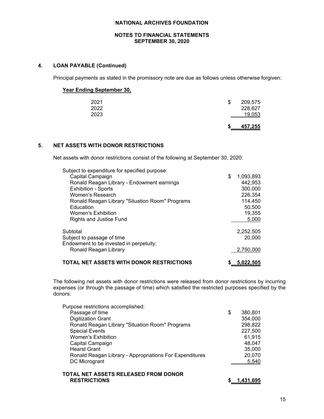### **NOTES TO FINANCIAL STATEMENTS SEPTEMBER 30, 2020**

# **4. LOAN PAYABLE (Continued)**

Principal payments as stated in the promissory note are due as follows unless otherwise forgiven:

# **Year Ending September 30,**

| 2021 | S. | 209,575 |
|------|----|---------|
| 2022 |    | 228,627 |
| 2023 |    | 19,053  |
|      |    |         |

**\$ 457,255**

# **5. NET ASSETS WITH DONOR RESTRICTIONS**

Net assets with donor restrictions consist of the following at September 30, 2020:

| IFT ACCETS WITH BONOR RESTRICTIONS              |                 |
|-------------------------------------------------|-----------------|
| Ronald Reagan Library                           | 2,750,000       |
| Endowment to be invested in perpetuity:         |                 |
| Subject to passage of time                      | 20,000          |
| Subtotal                                        | 2,252,505       |
|                                                 |                 |
|                                                 |                 |
| <b>Rights and Justice Fund</b>                  | 5,000           |
| <b>Women's Exhibition</b>                       | 19,355          |
| Education                                       | 50,500          |
| Ronald Reagan Library "Situation Room" Programs | 114,450         |
| Women's Research                                | 226,354         |
| <b>Exhibition - Sports</b>                      | 300,000         |
| Ronald Reagan Library - Endowment earnings      |                 |
|                                                 | 442,953         |
| Capital Campaign                                | \$<br>1,093,893 |
| Subject to expenditure for specified purpose:   |                 |

**TOTAL NET ASSETS WITH DONOR RESTRICTIONS \$ 5,022,505**

The following net assets with donor restrictions were released from donor restrictions by incurring expenses (or through the passage of time) which satisfied the restricted purposes specified by the donors:

| Purpose restrictions accomplished:                      |               |
|---------------------------------------------------------|---------------|
| Passage of time                                         | \$<br>380,801 |
| <b>Digitization Grant</b>                               | 354,000       |
| Ronald Reagan Library "Situation Room" Programs         | 298,822       |
| <b>Special Events</b>                                   | 227,500       |
| <b>Women's Exhibition</b>                               | 61,915        |
| Capital Campaign                                        | 48,047        |
| <b>Hearst Grant</b>                                     | 35,000        |
| Ronald Reagan Library - Appropriations For Expenditures | 20,070        |
| DC Microgrant                                           | 5,540         |
|                                                         |               |

### **TOTAL NET ASSETS RELEASED FROM DONOR RESTRICTIONS \$ 1,431,695**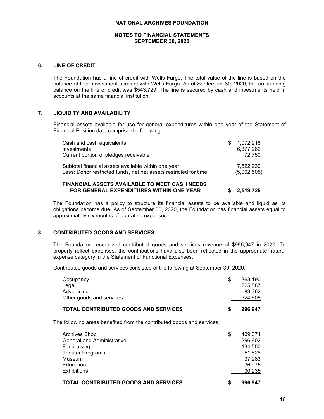# **NOTES TO FINANCIAL STATEMENTS SEPTEMBER 30, 2020**

### **6. LINE OF CREDIT**

The Foundation has a line of credit with Wells Fargo. The total value of the line is based on the balance of their investment account with Wells Fargo. As of September 30, 2020, the outstanding balance on the line of credit was \$543,729. The line is secured by cash and investments held in accounts at the same financial institution.

# **7. LIQUIDITY AND AVAILABILITY**

Financial assets available for use for general expenditures within one year of the Statement of Financial Position date comprise the following:

| Cash and cash equivalents<br>Investments                                                                                | S | 1,072,218<br>6,377,262   |
|-------------------------------------------------------------------------------------------------------------------------|---|--------------------------|
| Current portion of pledges receivable                                                                                   |   | 72,750                   |
| Subtotal financial assets available within one year<br>Less: Donor restricted funds, net net assets restricted for time |   | 7,522,230<br>(5,002,505) |
|                                                                                                                         |   |                          |

# **FINANCIAL ASSETS AVAILABLE TO MEET CASH NEEDS FOR GENERAL EXPENDITURES WITHIN ONE YEAR \$ 2,519,725**

The Foundation has a policy to structure its financial assets to be available and liquid as its obligations become due. As of September 30, 2020, the Foundation has financial assets equal to approximately six months of operating expenses.

# **8. CONTRIBUTED GOODS AND SERVICES**

The Foundation recognized contributed goods and services revenue of \$996,947 in 2020. To properly reflect expenses, the contributions have also been reflected in the appropriate natural expense category in the Statement of Functional Expenses.

Contributed goods and services consisted of the following at September 30, 2020:

| Occupancy<br>Legal<br>Advertising<br>Other goods and services                                                                                    | \$<br>363,190<br>225,587<br>83,362<br>324,808                               |
|--------------------------------------------------------------------------------------------------------------------------------------------------|-----------------------------------------------------------------------------|
| <b>TOTAL CONTRIBUTED GOODS AND SERVICES</b>                                                                                                      | 996,947                                                                     |
| The following areas benefited from the contributed goods and services:                                                                           |                                                                             |
| <b>Archives Shop</b><br><b>General and Administrative</b><br>Fundraising<br><b>Theater Programs</b><br>Museum<br>Education<br><b>Exhibitions</b> | \$<br>409,374<br>296,902<br>134,550<br>51,628<br>37,283<br>36,975<br>30,235 |
| <b>TOTAL CONTRIBUTED GOODS AND SERVICES</b>                                                                                                      | 996,947                                                                     |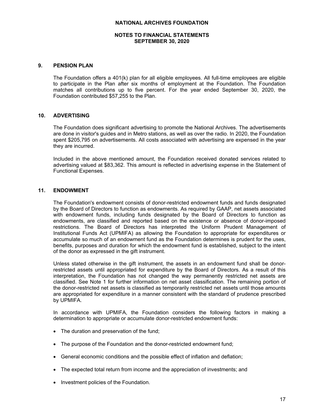# **NOTES TO FINANCIAL STATEMENTS SEPTEMBER 30, 2020**

### **9. PENSION PLAN**

The Foundation offers a 401(k) plan for all eligible employees. All full-time employees are eligible to participate in the Plan after six months of employment at the Foundation. The Foundation matches all contributions up to five percent. For the year ended September 30, 2020, the Foundation contributed \$57,255 to the Plan.

# **10. ADVERTISING**

The Foundation does significant advertising to promote the National Archives. The advertisements are done in visitor's guides and in Metro stations, as well as over the radio. In 2020, the Foundation spent \$205,795 on advertisements. All costs associated with advertising are expensed in the year they are incurred.

Included in the above mentioned amount, the Foundation received donated services related to advertising valued at \$83,362. This amount is reflected in advertising expense in the Statement of Functional Expenses.

# **11. ENDOWMENT**

The Foundation's endowment consists of donor-restricted endowment funds and funds designated by the Board of Directors to function as endowments. As required by GAAP, net assets associated with endowment funds, including funds designated by the Board of Directors to function as endowments, are classified and reported based on the existence or absence of donor-imposed restrictions. The Board of Directors has interpreted the Uniform Prudent Management of Institutional Funds Act (UPMIFA) as allowing the Foundation to appropriate for expenditures or accumulate so much of an endowment fund as the Foundation determines is prudent for the uses, benefits, purposes and duration for which the endowment fund is established, subject to the intent of the donor as expressed in the gift instrument.

Unless stated otherwise in the gift instrument, the assets in an endowment fund shall be donorrestricted assets until appropriated for expenditure by the Board of Directors. As a result of this interpretation, the Foundation has not changed the way permanently restricted net assets are classified. See Note 1 for further information on net asset classification. The remaining portion of the donor-restricted net assets is classified as temporarily restricted net assets until those amounts are appropriated for expenditure in a manner consistent with the standard of prudence prescribed by UPMIFA.

In accordance with UPMIFA, the Foundation considers the following factors in making a determination to appropriate or accumulate donor-restricted endowment funds:

- The duration and preservation of the fund;
- The purpose of the Foundation and the donor-restricted endowment fund;
- General economic conditions and the possible effect of inflation and deflation;
- The expected total return from income and the appreciation of investments; and
- Investment policies of the Foundation.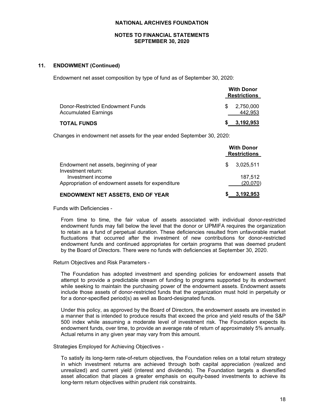# **NOTES TO FINANCIAL STATEMENTS SEPTEMBER 30, 2020**

# **11. ENDOWMENT (Continued)**

Endowment net asset composition by type of fund as of September 30, 2020:

|                                                                 | <b>With Donor</b><br><b>Restrictions</b> |
|-----------------------------------------------------------------|------------------------------------------|
| Donor-Restricted Endowment Funds<br><b>Accumulated Earnings</b> | 2.750.000<br>SS.<br>442.953              |
| <b>TOTAL FUNDS</b>                                              | \$3,192,953                              |

Changes in endowment net assets for the year ended September 30, 2020:

|                                                   | <b>With Donor</b><br><b>Restrictions</b> |  |  |  |
|---------------------------------------------------|------------------------------------------|--|--|--|
| Endowment net assets, beginning of year           | 3,025,511                                |  |  |  |
| Investment return:                                | S                                        |  |  |  |
| Investment income                                 | 187.512                                  |  |  |  |
| Appropriation of endowment assets for expenditure | (20,070)                                 |  |  |  |
| <b>ENDOWMENT NET ASSETS, END OF YEAR</b>          | 3,192,953                                |  |  |  |

Funds with Deficiencies -

From time to time, the fair value of assets associated with individual donor-restricted endowment funds may fall below the level that the donor or UPMIFA requires the organization to retain as a fund of perpetual duration. These deficiencies resulted from unfavorable market fluctuations that occurred after the investment of new contributions for donor-restricted endowment funds and continued appropriates for certain programs that was deemed prudent by the Board of Directors. There were no funds with deficiencies at September 30, 2020.

Return Objectives and Risk Parameters -

The Foundation has adopted investment and spending policies for endowment assets that attempt to provide a predictable stream of funding to programs supported by its endowment while seeking to maintain the purchasing power of the endowment assets. Endowment assets include those assets of donor-restricted funds that the organization must hold in perpetuity or for a donor-specified period(s) as well as Board-designated funds.

Under this policy, as approved by the Board of Directors, the endowment assets are invested in a manner that is intended to produce results that exceed the price and yield results of the S&P 500 index while assuming a moderate level of investment risk. The Foundation expects its endowment funds, over time, to provide an average rate of return of approximately 5% annually. Actual returns in any given year may vary from this amount.

Strategies Employed for Achieving Objectives -

To satisfy its long-term rate-of-return objectives, the Foundation relies on a total return strategy in which investment returns are achieved through both capital appreciation (realized and unrealized) and current yield (interest and dividends). The Foundation targets a diversified asset allocation that places a greater emphasis on equity-based investments to achieve its long-term return objectives within prudent risk constraints.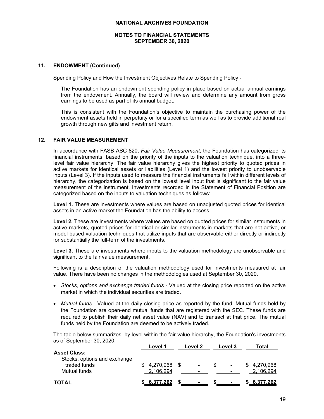### **NOTES TO FINANCIAL STATEMENTS SEPTEMBER 30, 2020**

# **11. ENDOWMENT (Continued)**

Spending Policy and How the Investment Objectives Relate to Spending Policy -

The Foundation has an endowment spending policy in place based on actual annual earnings from the endowment. Annually, the board will review and determine any amount from gross earnings to be used as part of its annual budget.

This is consistent with the Foundation's objective to maintain the purchasing power of the endowment assets held in perpetuity or for a specified term as well as to provide additional real growth through new gifts and investment return.

# **12. FAIR VALUE MEASUREMENT**

In accordance with FASB ASC 820, *Fair Value Measurement*, the Foundation has categorized its financial instruments, based on the priority of the inputs to the valuation technique, into a threelevel fair value hierarchy. The fair value hierarchy gives the highest priority to quoted prices in active markets for identical assets or liabilities (Level 1) and the lowest priority to unobservable inputs (Level 3). If the inputs used to measure the financial instruments fall within different levels of hierarchy, the categorization is based on the lowest level input that is significant to the fair value measurement of the instrument. Investments recorded in the Statement of Financial Position are categorized based on the inputs to valuation techniques as follows:

**Level 1.** These are investments where values are based on unadjusted quoted prices for identical assets in an active market the Foundation has the ability to access.

**Level 2.** These are investments where values are based on quoted prices for similar instruments in active markets, quoted prices for identical or similar instruments in markets that are not active, or model-based valuation techniques that utilize inputs that are observable either directly or indirectly for substantially the full-term of the investments.

**Level 3.** These are investments where inputs to the valuation methodology are unobservable and significant to the fair value measurement.

Following is a description of the valuation methodology used for investments measured at fair value. There have been no changes in the methodologies used at September 30, 2020.

- *Stocks, options and exchange traded funds* Valued at the closing price reported on the active market in which the individual securities are traded.
- *Mutual funds* Valued at the daily closing price as reported by the fund. Mutual funds held by the Foundation are open-end mutual funds that are registered with the SEC. These funds are required to publish their daily net asset value (NAV) and to transact at that price. The mutual funds held by the Foundation are deemed to be actively traded.

The table below summarizes, by level within the fair value hierarchy, the Foundation's investments as of September 30, 2020:

|                                                     | Level 1                   | Level 2 | Level 3        | Total                    |
|-----------------------------------------------------|---------------------------|---------|----------------|--------------------------|
| <b>Asset Class:</b><br>Stocks, options and exchange |                           |         |                |                          |
| traded funds<br>Mutual funds                        | 4,270,968 \$<br>2,106,294 | $\sim$  | $\blacksquare$ | \$4,270,968<br>2.106.294 |
| <b>TOTAL</b>                                        | \$6,377,262               |         |                | 6,377,262                |